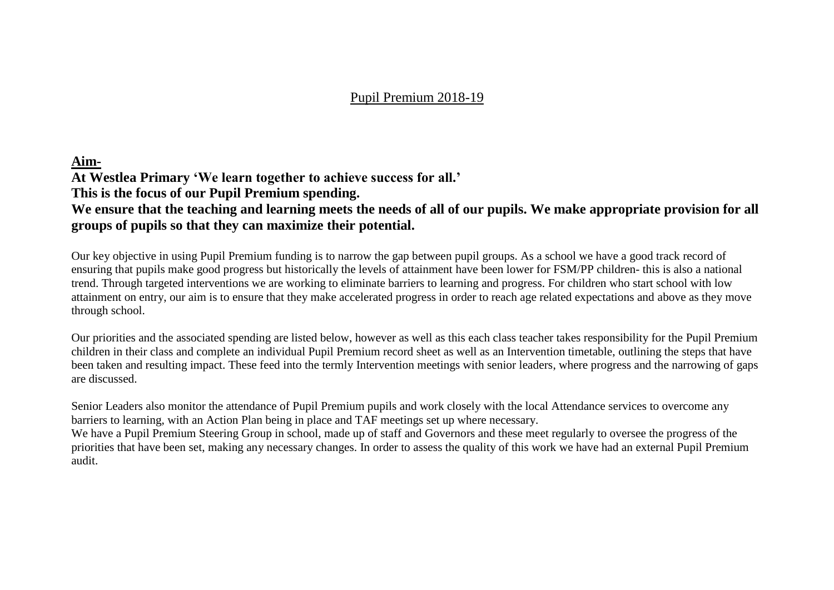### Pupil Premium 2018-19

#### **Aim-**

**At Westlea Primary 'We learn together to achieve success for all.'**

**This is the focus of our Pupil Premium spending.**

## **We ensure that the teaching and learning meets the needs of all of our pupils. We make appropriate provision for all groups of pupils so that they can maximize their potential.**

Our key objective in using Pupil Premium funding is to narrow the gap between pupil groups. As a school we have a good track record of ensuring that pupils make good progress but historically the levels of attainment have been lower for FSM/PP children- this is also a national trend. Through targeted interventions we are working to eliminate barriers to learning and progress. For children who start school with low attainment on entry, our aim is to ensure that they make accelerated progress in order to reach age related expectations and above as they move through school.

Our priorities and the associated spending are listed below, however as well as this each class teacher takes responsibility for the Pupil Premium children in their class and complete an individual Pupil Premium record sheet as well as an Intervention timetable, outlining the steps that have been taken and resulting impact. These feed into the termly Intervention meetings with senior leaders, where progress and the narrowing of gaps are discussed.

Senior Leaders also monitor the attendance of Pupil Premium pupils and work closely with the local Attendance services to overcome any barriers to learning, with an Action Plan being in place and TAF meetings set up where necessary.

We have a Pupil Premium Steering Group in school, made up of staff and Governors and these meet regularly to oversee the progress of the priorities that have been set, making any necessary changes. In order to assess the quality of this work we have had an external Pupil Premium audit.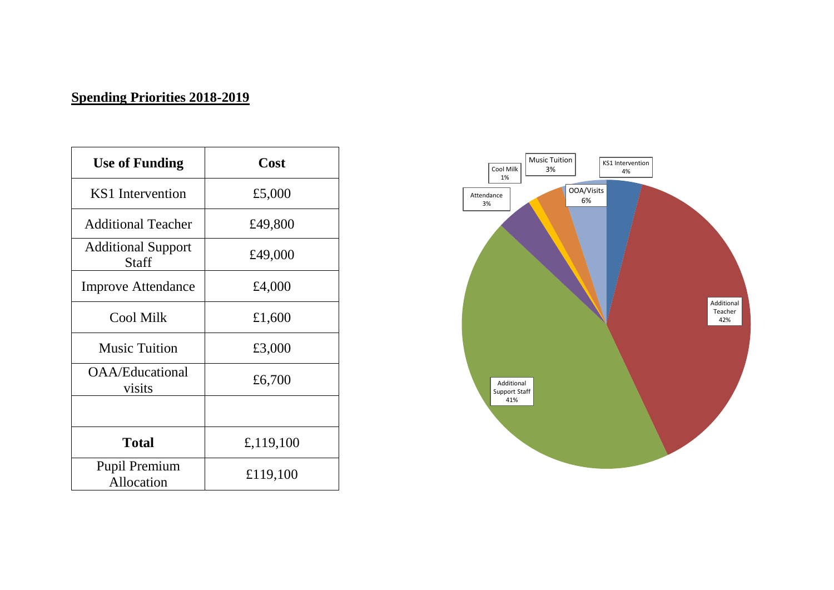# **Spending Priorities 2018-2019**

| <b>Use of Funding</b>              | Cost      |
|------------------------------------|-----------|
| KS1 Intervention                   | £5,000    |
| <b>Additional Teacher</b>          | £49,800   |
| <b>Additional Support</b><br>Staff | £49,000   |
| <b>Improve Attendance</b>          | £4,000    |
| <b>Cool Milk</b>                   | £1,600    |
| <b>Music Tuition</b>               | £3,000    |
| OAA/Educational<br>visits          | £6,700    |
|                                    |           |
| <b>Total</b>                       | £,119,100 |
| <b>Pupil Premium</b><br>Allocation | £119,100  |

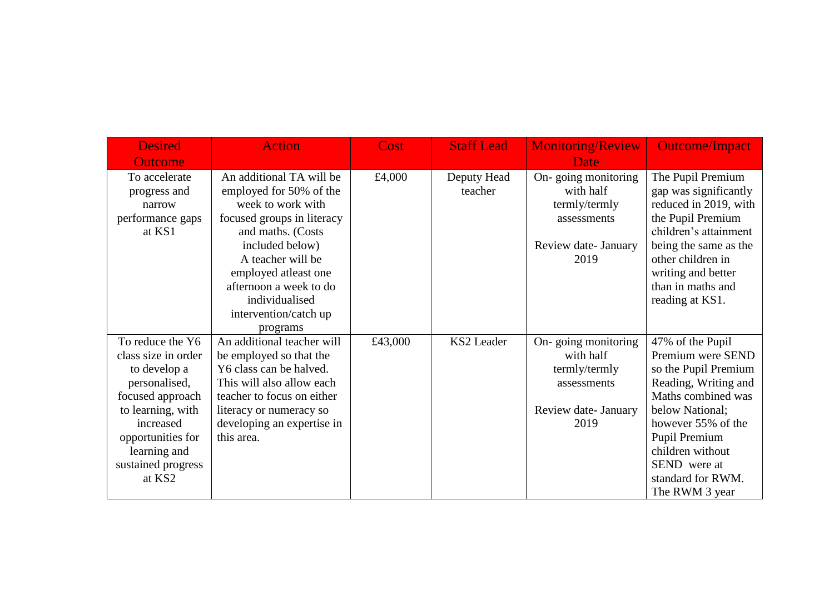| <b>Desired</b>      | <b>Action</b>              | Cost    | <b>Staff Lead</b> | <b>Monitoring/Review</b> | <b>Outcome/Impact</b> |
|---------------------|----------------------------|---------|-------------------|--------------------------|-----------------------|
| <b>Outcome</b>      |                            |         |                   | Date                     |                       |
| To accelerate       | An additional TA will be   | £4,000  | Deputy Head       | On-going monitoring      | The Pupil Premium     |
| progress and        | employed for 50% of the    |         | teacher           | with half                | gap was significantly |
| narrow              | week to work with          |         |                   | termly/termly            | reduced in 2019, with |
| performance gaps    | focused groups in literacy |         |                   | assessments              | the Pupil Premium     |
| at KS1              | and maths. (Costs          |         |                   |                          | children's attainment |
|                     | included below)            |         |                   | Review date- January     | being the same as the |
|                     | A teacher will be          |         |                   | 2019                     | other children in     |
|                     | employed atleast one       |         |                   |                          | writing and better    |
|                     | afternoon a week to do     |         |                   |                          | than in maths and     |
|                     | individualised             |         |                   |                          | reading at KS1.       |
|                     | intervention/catch up      |         |                   |                          |                       |
|                     | programs                   |         |                   |                          |                       |
| To reduce the Y6    | An additional teacher will | £43,000 | KS2 Leader        | On-going monitoring      | 47% of the Pupil      |
| class size in order | be employed so that the    |         |                   | with half                | Premium were SEND     |
| to develop a        | Y6 class can be halved.    |         |                   | termly/termly            | so the Pupil Premium  |
| personalised,       | This will also allow each  |         |                   | assessments              | Reading, Writing and  |
| focused approach    | teacher to focus on either |         |                   |                          | Maths combined was    |
| to learning, with   | literacy or numeracy so    |         |                   | Review date- January     | below National;       |
| increased           | developing an expertise in |         |                   | 2019                     | however 55% of the    |
| opportunities for   | this area.                 |         |                   |                          | Pupil Premium         |
| learning and        |                            |         |                   |                          | children without      |
| sustained progress  |                            |         |                   |                          | SEND were at          |
| at KS2              |                            |         |                   |                          | standard for RWM.     |
|                     |                            |         |                   |                          | The RWM 3 year        |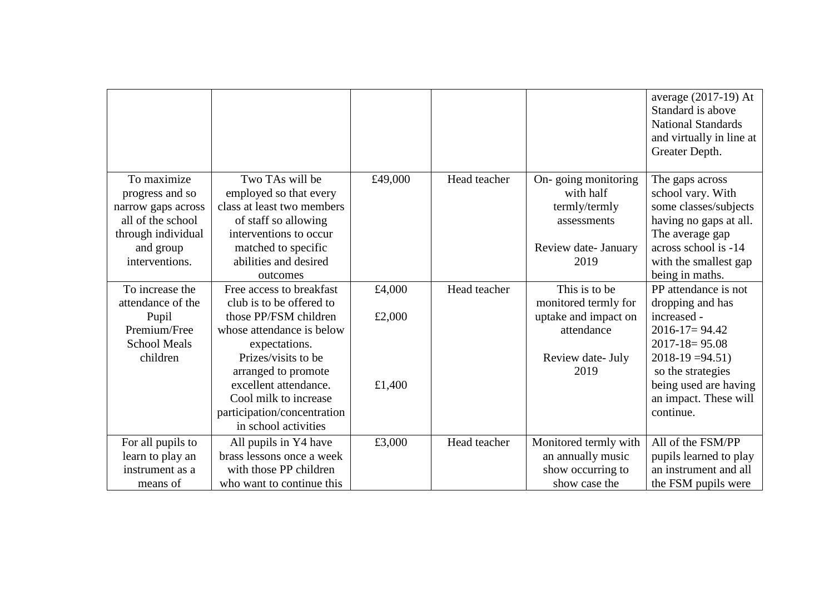|                     |                             |         |              |                       | average (2017-19) At<br>Standard is above<br><b>National Standards</b><br>and virtually in line at<br>Greater Depth. |
|---------------------|-----------------------------|---------|--------------|-----------------------|----------------------------------------------------------------------------------------------------------------------|
| To maximize         | Two TAs will be             |         |              |                       |                                                                                                                      |
|                     |                             | £49,000 | Head teacher | On-going monitoring   | The gaps across                                                                                                      |
| progress and so     | employed so that every      |         |              | with half             | school vary. With                                                                                                    |
| narrow gaps across  | class at least two members  |         |              | termly/termly         | some classes/subjects                                                                                                |
| all of the school   | of staff so allowing        |         |              | assessments           | having no gaps at all.                                                                                               |
| through individual  | interventions to occur      |         |              |                       | The average gap                                                                                                      |
| and group           | matched to specific         |         |              | Review date- January  | across school is -14                                                                                                 |
| interventions.      | abilities and desired       |         |              | 2019                  | with the smallest gap                                                                                                |
|                     | outcomes                    |         |              |                       | being in maths.                                                                                                      |
| To increase the     | Free access to breakfast    | £4,000  | Head teacher | This is to be         | PP attendance is not                                                                                                 |
| attendance of the   | club is to be offered to    |         |              | monitored termly for  | dropping and has                                                                                                     |
| Pupil               | those PP/FSM children       | £2,000  |              | uptake and impact on  | increased -                                                                                                          |
| Premium/Free        | whose attendance is below   |         |              | attendance            | $2016 - 17 = 94.42$                                                                                                  |
| <b>School Meals</b> | expectations.               |         |              |                       | $2017 - 18 = 95.08$                                                                                                  |
| children            | Prizes/visits to be         |         |              | Review date- July     | $2018-19=94.51$                                                                                                      |
|                     | arranged to promote         |         |              | 2019                  | so the strategies                                                                                                    |
|                     | excellent attendance.       | £1,400  |              |                       | being used are having                                                                                                |
|                     | Cool milk to increase       |         |              |                       | an impact. These will                                                                                                |
|                     | participation/concentration |         |              |                       | continue.                                                                                                            |
|                     | in school activities        |         |              |                       |                                                                                                                      |
| For all pupils to   | All pupils in Y4 have       | £3,000  | Head teacher | Monitored termly with | All of the FSM/PP                                                                                                    |
| learn to play an    | brass lessons once a week   |         |              | an annually music     | pupils learned to play                                                                                               |
| instrument as a     | with those PP children      |         |              | show occurring to     | an instrument and all                                                                                                |
| means of            | who want to continue this   |         |              | show case the         | the FSM pupils were                                                                                                  |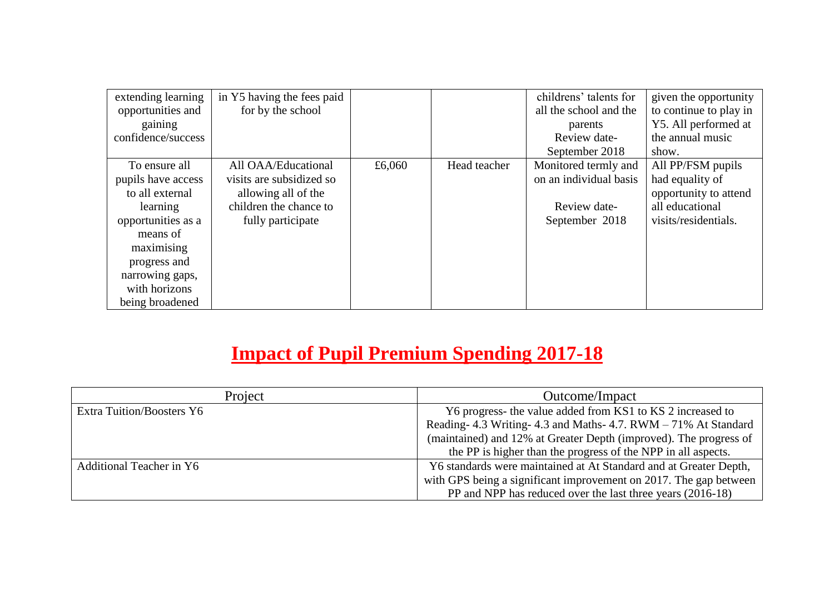| extending learning | in Y5 having the fees paid |        |              | childrens' talents for | given the opportunity  |
|--------------------|----------------------------|--------|--------------|------------------------|------------------------|
| opportunities and  | for by the school          |        |              | all the school and the | to continue to play in |
| gaining            |                            |        |              | parents                | Y5. All performed at   |
| confidence/success |                            |        |              | Review date-           | the annual music       |
|                    |                            |        |              | September 2018         | show.                  |
| To ensure all      | All OAA/Educational        | £6,060 | Head teacher | Monitored termly and   | All PP/FSM pupils      |
| pupils have access | visits are subsidized so   |        |              | on an individual basis | had equality of        |
| to all external    | allowing all of the        |        |              |                        | opportunity to attend  |
| learning           | children the chance to     |        |              | Review date-           | all educational        |
| opportunities as a | fully participate          |        |              | September 2018         | visits/residentials.   |
| means of           |                            |        |              |                        |                        |
| maximising         |                            |        |              |                        |                        |
| progress and       |                            |        |              |                        |                        |
| narrowing gaps,    |                            |        |              |                        |                        |
| with horizons      |                            |        |              |                        |                        |
| being broadened    |                            |        |              |                        |                        |

# **Impact of Pupil Premium Spending 2017-18**

| Project                          | Outcome/Impact                                                    |
|----------------------------------|-------------------------------------------------------------------|
| <b>Extra Tuition/Boosters Y6</b> | Y6 progress- the value added from KS1 to KS 2 increased to        |
|                                  | Reading-4.3 Writing-4.3 and Maths-4.7. RWM - 71% At Standard      |
|                                  | (maintained) and 12% at Greater Depth (improved). The progress of |
|                                  | the PP is higher than the progress of the NPP in all aspects.     |
| <b>Additional Teacher in Y6</b>  | Y6 standards were maintained at At Standard and at Greater Depth, |
|                                  | with GPS being a significant improvement on 2017. The gap between |
|                                  | PP and NPP has reduced over the last three years (2016-18)        |